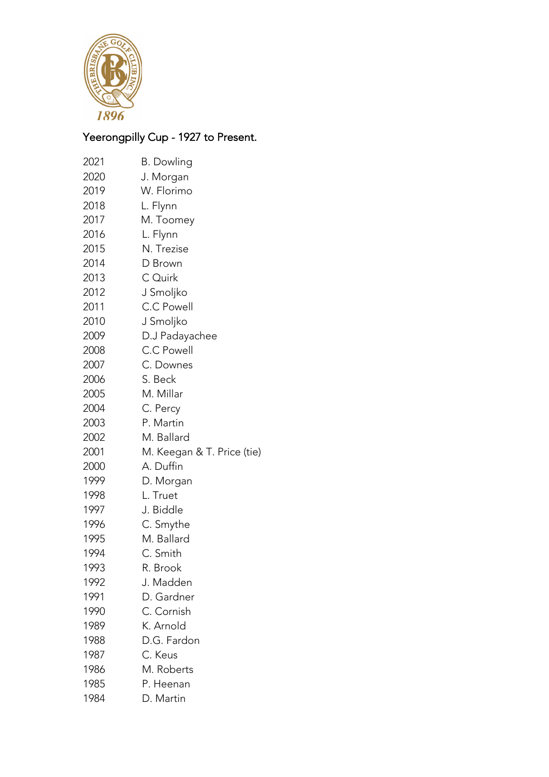

## Yeerongpilly Cup - 1927 to Present.

| 2021 | B. Dowling                 |
|------|----------------------------|
| 2020 | J. Morgan                  |
| 2019 | W. Florimo                 |
| 2018 | L. Flynn                   |
| 2017 | M. Toomey                  |
| 2016 | L. Flynn                   |
| 2015 | N. Trezise                 |
| 2014 | D Brown                    |
| 2013 | C Quirk                    |
| 2012 | J Smoljko                  |
| 2011 | C.C Powell                 |
| 2010 | J Smoljko                  |
| 2009 | D.J Padayachee             |
| 2008 | C.C Powell                 |
| 2007 | C. Downes                  |
| 2006 | S. Beck                    |
| 2005 | M. Millar                  |
| 2004 | C. Percy                   |
| 2003 | P. Martin                  |
| 2002 | M. Ballard                 |
| 2001 | M. Keegan & T. Price (tie) |
| 2000 | A. Duffin                  |
| 1999 | D. Morgan                  |
| 1998 | L. Truet                   |
| 1997 | J. Biddle                  |
| 1996 | C. Smythe                  |
| 1995 | M. Ballard                 |
| 1994 | C. Smith                   |
| 1993 | R. Brook                   |
| 1992 | J. Madden                  |
| 1991 | D. Gardner                 |
| 1990 | C. Cornish                 |
| 1989 | K. Arnold                  |
| 1988 | D.G. Fardon                |
| 1987 | C. Keus                    |
| 1986 | M. Roberts                 |
| 1985 | P. Heenan                  |
| 1984 | D. Martin                  |
|      |                            |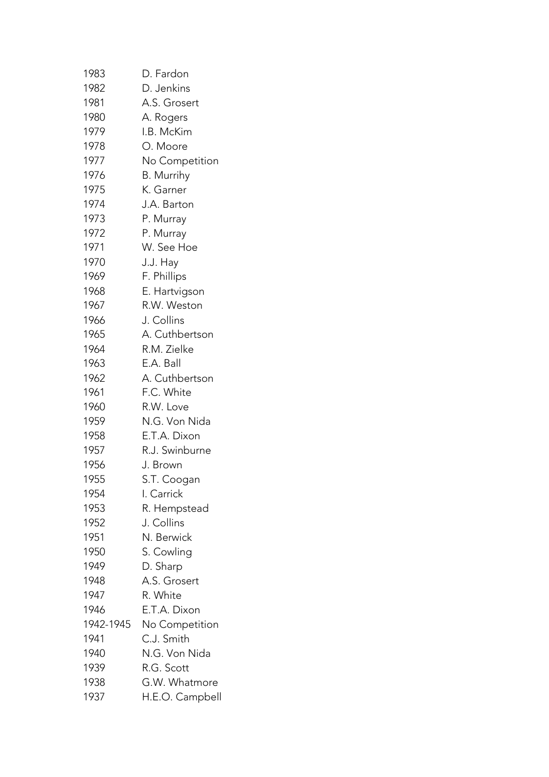| 1983      | D. Fardon       |
|-----------|-----------------|
| 1982      | D. Jenkins      |
| 1981      | A.S. Grosert    |
| 1980      | A. Rogers       |
| 1979      | I.B. McKim      |
| 1978      | O. Moore        |
| 1977      | No Competition  |
| 1976      | B. Murrihy      |
| 1975      | K. Garner       |
| 1974      | J.A. Barton     |
| 1973      | P. Murray       |
| 1972      | P. Murray       |
| 1971      | W. See Hoe      |
| 1970      | J.J. Hay        |
| 1969      | F. Phillips     |
| 1968      | E. Hartvigson   |
| 1967      | R.W. Weston     |
| 1966      | J. Collins      |
| 1965      | A. Cuthbertson  |
| 1964      | R.M. Zielke     |
| 1963      | E.A. Ball       |
| 1962      | A. Cuthbertson  |
| 1961      | F.C. White      |
| 1960      | R.W. Love       |
| 1959      | N.G. Von Nida   |
| 1958      | E.T.A. Dixon    |
| 1957      | R.J. Swinburne  |
| 1956      | J. Brown        |
| 1955      | S.T. Coogan     |
| 1954      | I. Carrick      |
| 1953      | R. Hempstead    |
| 1952      | J. Collins      |
| 1951      | N. Berwick      |
| 1950      | S. Cowling      |
| 1949      | D. Sharp        |
| 1948      | A.S. Grosert    |
| 1947      | R. White        |
| 1946      | E.T.A. Dixon    |
| 1942-1945 | No Competition  |
| 1941      | C.J. Smith      |
| 1940      | N.G. Von Nida   |
| 1939      | R.G. Scott      |
| 1938      | G.W. Whatmore   |
| 1937      | H.E.O. Campbell |